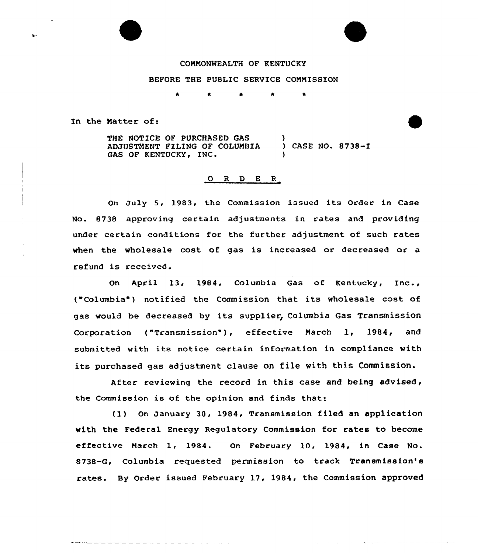## CONMONNEALTH OF KENTUCKY

### BEFORE THE PUBLIC SERVICE COMMISSION

In the Natter of:

THE NOTICE OF PURCHASED GAS ADJUSTMENT FILING OF COLUMBIA (ASE NO. 8738-I<br>GAS OF KENTUCKY, INC. (ASE ) )

### 0 R <sup>D</sup> E R

On July 5, 1983, the Commission issued its Order in Case No. 8738 approving certain adjustments in rates and providing under certain conditions for the further adjustment of such rates when the wholesale cost of gas is increased or decreased or a refund is received.

On April 13, 1984, Columbia Gas of Kentucky, Inc., ("Columbia") notified the Commission that its wholesale cost of gas would be decreased by its supplier, Columbia Gas Transmission Corporation ("Transmission"), effective March 1, 1984, and submitted with its notice certain information in compliance with its purchased gas adjustment clause on file with this Commission.

After reviewing the record in this case and being advised, the Commission is of the opinion and finds that:

(1) On January 30, 1984, Transmission filed an application with the Federal Energy Regulatory Commission for rates to become effective March 1, 1984. On February 10, 1984, in Case No. 8738-G, Columbia requested permission to track Transmission's rates. By Order issued February 17, 1984, the Commission approved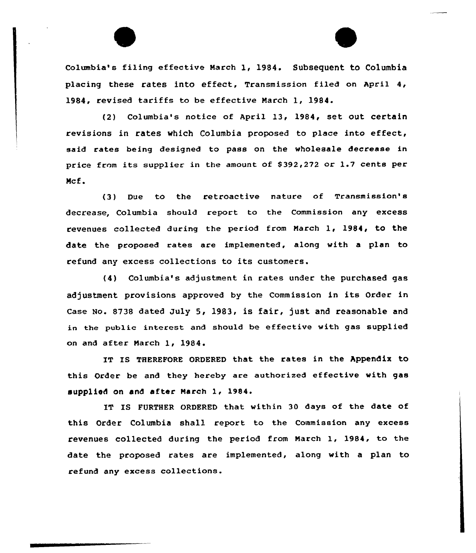Columbia's filing effective March 1, 1984. Subsequent to Columbia placing these rates into effect, Transmission filed on April 4, 1984, revised tariffs to be effective March 1, 1984.

(2) Columbia's notice of April 13, 1984, set out certain revisions in rates which Columbia proposed to place into effect, said rates being designed to pass on the wholesale decrease in price from its supplier in the amount of \$ 392,272 or 1.7 cents per Mcf.

(3) Due to the retroactive nature of Transmission's decrease, Columbia should report to the Commission any excess revenues collected during the period from March 1, 1984, to the date the proposed rates are implemented, along with a plan to refund any excess collections to its customers.

(4) Columbia's adjustment in rates under the purchased gas adjustment provisions approved by the Commission in its Order in Case No. 8738 dated July 5, 1983, is fair, just and reasonable and in the public interest and should be effective with gas supplied on and after March 1, 1984.

IT IS THEREFORE ORDERED that the rates in the Appendix to this Order be and they hereby are authorized effective with gas supplied on and after March 1, 1984.

IT IS FURTHER ORDERED that within 30 days of the date of this Order Columbia shall report to the Commission any excess revenues collected during the period from March 1, 1984, to the date the proposed rates are implemented, along with a plan to refund any excess collections.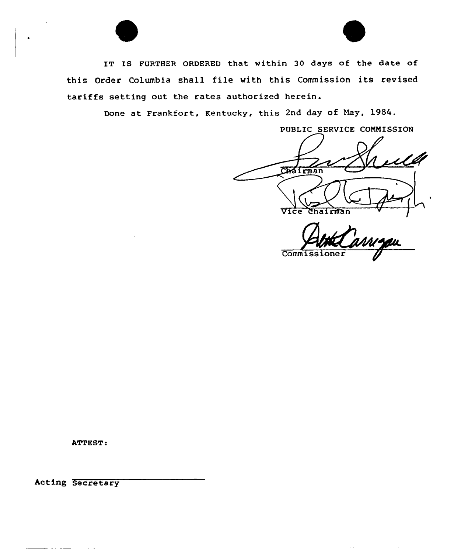

IT IS FURTHER ORDERED that within 30 days of the date of this Order Columbia shall file with this Commission its revised tariffs setting out the rates authorized herein.

Done at Frankfort, Kentucky, this 2nd day of Nay, 1984.

PUBLIC SERVICE CONNISSION Chairman Vice Chairman

Commissi

 $\sim$   $\sim$ 

ATTEST:

hcting Secretary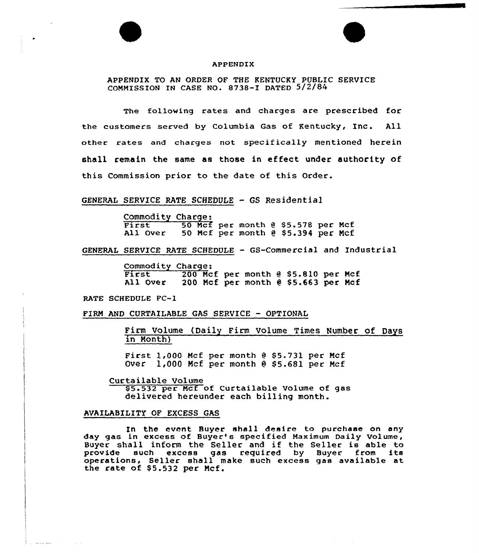



### APPENDIX

APPENDIX TO AN ORDER OF THE KENTUCKY PUBLIC SERVICE COMMISSION IN CASE NO. 8738-I DATED 5/2/4

The following rates and charges are prescribed for the customers served by Columbia Gas of Kentucky, Inc. All other rates and charges not specifically mentioned herein shall remain the same as those in effeet under authority of this Commission prior to the date of this Order.

### GENERAL SERVICE RATE SCHEDULE — GS Residential

Commodity Charge:<br>First 50 Mcf per month @ \$5.578 per Mcf<br>All Over 50 Mcf per month @ \$5.394 per Mcf 50 Mcf per month @ \$5.394 per Mcf

GENERAL SERVICE RATE SCHEDULE — GS-Commercial and Industrial

Commodity Charge:<br>
First 200 Mcf per month @ \$5.810 per Mcf<br>
All Over 200 Mcf per month @ \$5.663 per Mcf 200 Mcf per month  $e$  \$5.663 per Mcf

RATE SCHEDULE FC-1

FIRM AND CURTAILABLE GAS SERVICE - OPTIONAL

Firm Volume (Daily Firm Volume Times Number of Days in Month)

First  $1,000$  Mcf per month  $0.55.731$  per Mcf Over 1,000 Mcf per month @ \$5.681 per Mcf

Curtailable Volume \$5.532 per Mcf of Curtailable Volume of gas delivered hereunder each billing month.

## AVAILABILITY OF EXCESS GAS

In the event Buyer shall desire to purchase on any day gas in excess of Buyer's specified Maximum Daily Volume, Buyer shall inform the Seller and if the Seller is able to<br>provide such excess gas required by Buyer from its such excess gas required by Buyer from its operations, Seller shall make such excess gas available at the rate of \$5.532 per Mcf.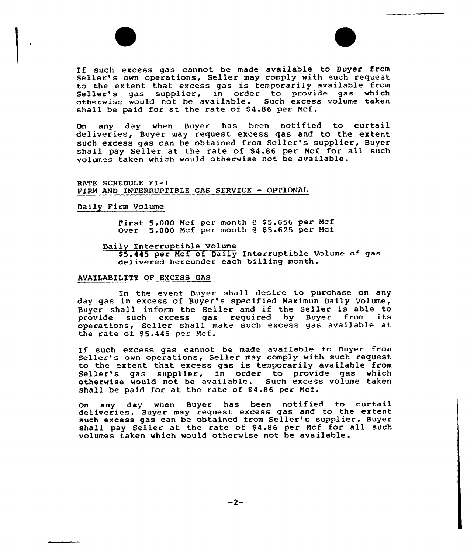



If such excess gas cannot be made available to Buyer from Seller's own operations, Seller may comply with such request<br>to the extent that excess gas is temporarily available from Seller's gas supplier, in order to provide gas which otherwise would not be available. Such excess volume taken shall be paid for at the rate of \$4.86 per Mcf.

On any day when Buyer has been notified to curtail deliveries, Buyer may request excess gas and to the extent such excess gas can be obtained from Seller's supplier, Buyer shall pay Seller at the rate of \$4.86 per Mcf for all such volumes taken which would otherwise not be available.

RATE SCHEDULE FI-1 FIRM AND INTERRUPTIBLE GAS SERVICE — OPTIONAL

## Daily Firm Volume

First  $5,000$  Mcf per month  $0$  \$5.656 per Mcf Over 5,000 Mcf per month @ \$5.625 per Mcf

Daily Interruptible Volume

\$5.445 per Mcf of Daily Interruptible Volume of gas delivered hereunder each billing month.

### AVAILABILITY OF EXCESS GAS

In the event Buyer shall desire to purchase on any day gas in excess of Buyer's specified Maximum Daily Volume, Buyer shall inform the Seller and if the Seller is able to provide such excess gas required by Buyer from its such excess gas required by Buyer from its operations, Seller shall make such excess gas available at the rate of  $$5.445$  per Mcf.

If such excess gas cannot be made available to Buyer from Seller's own operations, Seller may comply with such request to the extent that excess gas is temporarily available from Seller's gas supplier, in order to provide gas which<br>otherwise would not be available. Such excess volume taken otherwise would not be available. shall be paid for at the rate of  $$4.86$  per Mcf.

On any day when Buyer has been notified to curtail deliveries, Buyer may request excess gas and to the extent such excess gas can be obtained from Seller's supplier, Buyer shall pay Seller at the rate of \$4.86 per Mcf for all such volumes taken which would otherwise not be available.